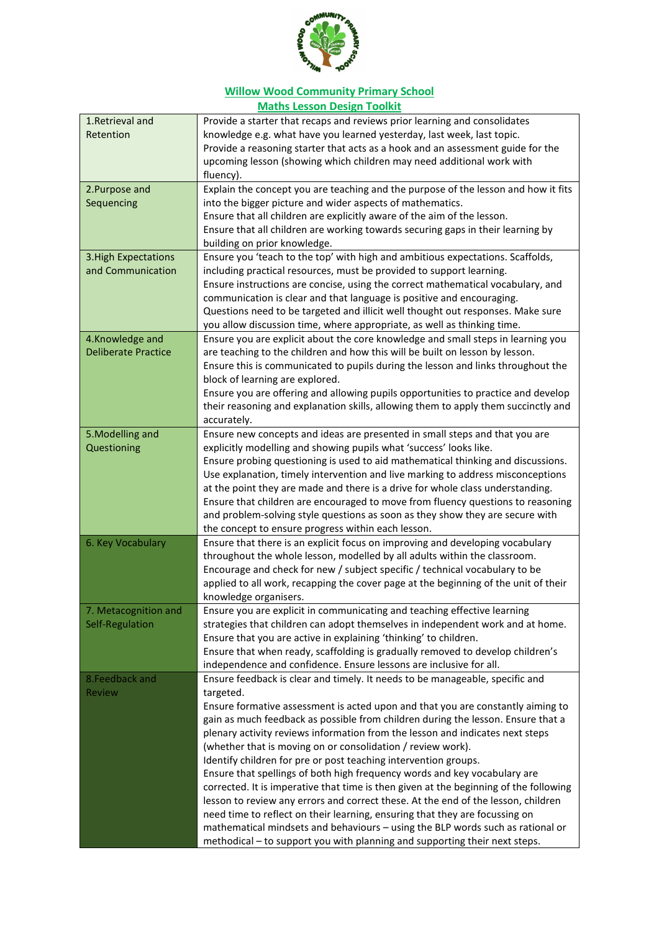

## **Willow Wood Community Primary School**

## **Maths Lesson Design Toolkit**

| 1. Retrieval and           | Provide a starter that recaps and reviews prior learning and consolidates             |
|----------------------------|---------------------------------------------------------------------------------------|
| Retention                  | knowledge e.g. what have you learned yesterday, last week, last topic.                |
|                            | Provide a reasoning starter that acts as a hook and an assessment guide for the       |
|                            | upcoming lesson (showing which children may need additional work with                 |
|                            | fluency).                                                                             |
| 2. Purpose and             | Explain the concept you are teaching and the purpose of the lesson and how it fits    |
| Sequencing                 | into the bigger picture and wider aspects of mathematics.                             |
|                            | Ensure that all children are explicitly aware of the aim of the lesson.               |
|                            | Ensure that all children are working towards securing gaps in their learning by       |
|                            | building on prior knowledge.                                                          |
| 3. High Expectations       | Ensure you 'teach to the top' with high and ambitious expectations. Scaffolds,        |
| and Communication          | including practical resources, must be provided to support learning.                  |
|                            | Ensure instructions are concise, using the correct mathematical vocabulary, and       |
|                            | communication is clear and that language is positive and encouraging.                 |
|                            | Questions need to be targeted and illicit well thought out responses. Make sure       |
|                            | you allow discussion time, where appropriate, as well as thinking time.               |
| 4.Knowledge and            | Ensure you are explicit about the core knowledge and small steps in learning you      |
| <b>Deliberate Practice</b> | are teaching to the children and how this will be built on lesson by lesson.          |
|                            | Ensure this is communicated to pupils during the lesson and links throughout the      |
|                            | block of learning are explored.                                                       |
|                            | Ensure you are offering and allowing pupils opportunities to practice and develop     |
|                            | their reasoning and explanation skills, allowing them to apply them succinctly and    |
|                            | accurately.                                                                           |
| 5. Modelling and           | Ensure new concepts and ideas are presented in small steps and that you are           |
| Questioning                | explicitly modelling and showing pupils what 'success' looks like.                    |
|                            | Ensure probing questioning is used to aid mathematical thinking and discussions.      |
|                            | Use explanation, timely intervention and live marking to address misconceptions       |
|                            | at the point they are made and there is a drive for whole class understanding.        |
|                            | Ensure that children are encouraged to move from fluency questions to reasoning       |
|                            | and problem-solving style questions as soon as they show they are secure with         |
|                            | the concept to ensure progress within each lesson.                                    |
| 6. Key Vocabulary          | Ensure that there is an explicit focus on improving and developing vocabulary         |
|                            | throughout the whole lesson, modelled by all adults within the classroom.             |
|                            | Encourage and check for new / subject specific / technical vocabulary to be           |
|                            | applied to all work, recapping the cover page at the beginning of the unit of their   |
|                            | knowledge organisers.                                                                 |
| 7. Metacognition and       | Ensure you are explicit in communicating and teaching effective learning              |
| Self-Regulation            | strategies that children can adopt themselves in independent work and at home.        |
|                            | Ensure that you are active in explaining 'thinking' to children.                      |
|                            | Ensure that when ready, scaffolding is gradually removed to develop children's        |
|                            | independence and confidence. Ensure lessons are inclusive for all.                    |
| 8.Feedback and             | Ensure feedback is clear and timely. It needs to be manageable, specific and          |
| <b>Review</b>              | targeted.                                                                             |
|                            | Ensure formative assessment is acted upon and that you are constantly aiming to       |
|                            | gain as much feedback as possible from children during the lesson. Ensure that a      |
|                            | plenary activity reviews information from the lesson and indicates next steps         |
|                            | (whether that is moving on or consolidation / review work).                           |
|                            | Identify children for pre or post teaching intervention groups.                       |
|                            | Ensure that spellings of both high frequency words and key vocabulary are             |
|                            | corrected. It is imperative that time is then given at the beginning of the following |
|                            | lesson to review any errors and correct these. At the end of the lesson, children     |
|                            | need time to reflect on their learning, ensuring that they are focussing on           |
|                            | mathematical mindsets and behaviours - using the BLP words such as rational or        |
|                            | methodical - to support you with planning and supporting their next steps.            |